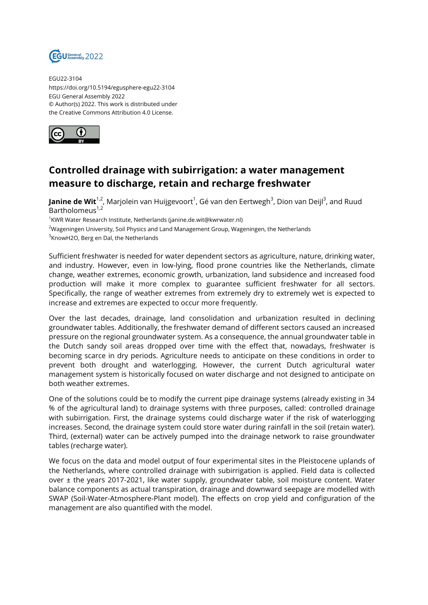

EGU22-3104 https://doi.org/10.5194/egusphere-egu22-3104 EGU General Assembly 2022 © Author(s) 2022. This work is distributed under the Creative Commons Attribution 4.0 License.



## **Controlled drainage with subirrigation: a water management measure to discharge, retain and recharge freshwater**

**Janine de Wit**<sup>1,2</sup>, Marjolein van Huijgevoort<sup>1</sup>, Gé van den Eertwegh<sup>3</sup>, Dion van Deijl<sup>3</sup>, and Ruud Bartholomeus $1,2$ 

<sup>1</sup>KWR Water Research Institute, Netherlands (janine.de.wit@kwrwater.nl)

<sup>2</sup>Wageningen University, Soil Physics and Land Management Group, Wageningen, the Netherlands

 ${}^{3}$ KnowH2O, Berg en Dal, the Netherlands

Sufficient freshwater is needed for water dependent sectors as agriculture, nature, drinking water, and industry. However, even in low-lying, flood prone countries like the Netherlands, climate change, weather extremes, economic growth, urbanization, land subsidence and increased food production will make it more complex to guarantee sufficient freshwater for all sectors. Specifically, the range of weather extremes from extremely dry to extremely wet is expected to increase and extremes are expected to occur more frequently.

Over the last decades, drainage, land consolidation and urbanization resulted in declining groundwater tables. Additionally, the freshwater demand of different sectors caused an increased pressure on the regional groundwater system. As a consequence, the annual groundwater table in the Dutch sandy soil areas dropped over time with the effect that, nowadays, freshwater is becoming scarce in dry periods. Agriculture needs to anticipate on these conditions in order to prevent both drought and waterlogging. However, the current Dutch agricultural water management system is historically focused on water discharge and not designed to anticipate on both weather extremes.

One of the solutions could be to modify the current pipe drainage systems (already existing in 34 % of the agricultural land) to drainage systems with three purposes, called: controlled drainage with subirrigation. First, the drainage systems could discharge water if the risk of waterlogging increases. Second, the drainage system could store water during rainfall in the soil (retain water). Third, (external) water can be actively pumped into the drainage network to raise groundwater tables (recharge water).

We focus on the data and model output of four experimental sites in the Pleistocene uplands of the Netherlands, where controlled drainage with subirrigation is applied. Field data is collected over ± the years 2017-2021, like water supply, groundwater table, soil moisture content. Water balance components as actual transpiration, drainage and downward seepage are modelled with SWAP (Soil-Water-Atmosphere-Plant model). The effects on crop yield and configuration of the management are also quantified with the model.